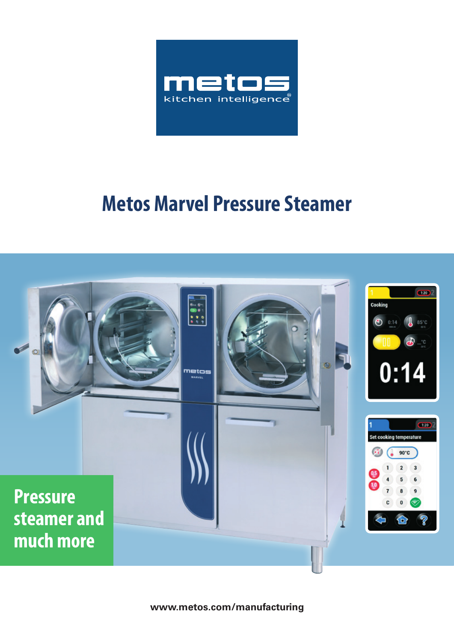

# **Metos Marvel Pressure Steamer**



**www.metos.com/manufacturing**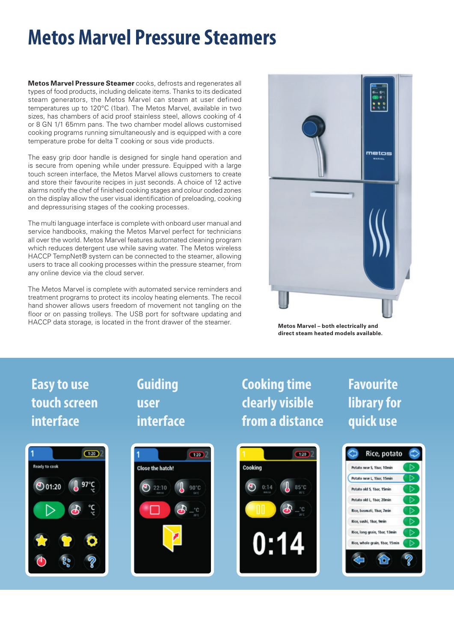# **Metos Marvel Pressure Steamers**

**Metos Marvel Pressure Steamer** cooks, defrosts and regenerates all types of food products, including delicate items. Thanks to its dedicated steam generators, the Metos Marvel can steam at user defined temperatures up to 120°C (1bar). The Metos Marvel, available in two sizes, has chambers of acid proof stainless steel, allows cooking of 4 or 8 GN 1/1 65mm pans. The two chamber model allows customised cooking programs running simultaneously and is equipped with a core temperature probe for delta T cooking or sous vide products.

The easy grip door handle is designed for single hand operation and is secure from opening while under pressure. Equipped with a large touch screen interface, the Metos Marvel allows customers to create and store their favourite recipes in just seconds. A choice of 12 active alarms notify the chef of finished cooking stages and colour coded zones on the display allow the user visual identification of preloading, cooking and depressurising stages of the cooking processes.

The multi language interface is complete with onboard user manual and service handbooks, making the Metos Marvel perfect for technicians all over the world. Metos Marvel features automated cleaning program which reduces detergent use while saving water. The Metos wireless HACCP TempNet® system can be connected to the steamer, allowing users to trace all cooking processes within the pressure steamer, from any online device via the cloud server.

The Metos Marvel is complete with automated service reminders and treatment programs to protect its incoloy heating elements. The recoil hand shower allows users freedom of movement not tangling on the floor or on passing trolleys. The USB port for software updating and HACCP data storage, is located in the front drawer of the steamer.



**Metos Marvel – both electrically and direct steam heated models available.**

## **Easy to use touch screen interface**



### **Guiding user interface**



### **Cooking time clearly visible from a distance**

## **Favourite library for quick use**



Rice, potato Potato new S. That 10min Potato new L. Thas 15min Potato old S. Thar. 15min Potato old L. Thar. 20min Rice hasmati, that 7min Rice, sushi, 1bar, 9min Rice, long grain, 1bar, 13mi grain, Thar, 15a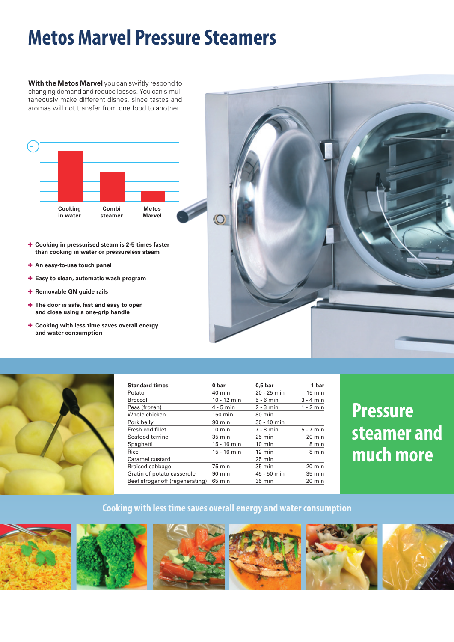# **Metos Marvel Pressure Steamers**

**With the Metos Marvel** you can swiftly respond to changing demand and reduce losses. You can simultaneously make different dishes, since tastes and aromas will not transfer from one food to another.



- ✚ **Cooking in pressurised steam is 2-5 times faster than cooking in water or pressureless steam**
- ✚ **An easy-to-use touch panel**
- ✚ **Easy to clean, automatic wash program**
- ✚ **Removable GN guide rails**
- ✚ **The door is safe, fast and easy to open and close using a one-grip handle**
- ✚ **Cooking with less time saves overall energy and water consumption**





| <b>Standard times</b>          | 0 bar            | 0.5 <sub>b</sub> | 1 bar            |
|--------------------------------|------------------|------------------|------------------|
| Potato                         | $40 \text{ min}$ | $20 - 25$ min    | $15 \text{ min}$ |
| <b>Broccoli</b>                | $10 - 12$ min    | $5 - 6$ min      | $3 - 4$ min      |
| Peas (frozen)                  | $4 - 5$ min      | $2 - 3$ min      | $1 - 2$ min      |
| Whole chicken                  | 150 min          | 80 min           |                  |
| Pork belly                     | 90 min           | 30 - 40 min      |                  |
| Fresh cod fillet               | $10$ min         | $7 - 8$ min      | $5 - 7$ min      |
| Seafood terrine                | $35 \text{ min}$ | $25 \text{ min}$ | $20 \text{ min}$ |
| Spaghetti                      | 15 - 16 min      | $10$ min         | 8 min            |
| Rice                           | 15 - 16 min      | $12 \text{ min}$ | 8 min            |
| Caramel custard                |                  | $25 \text{ min}$ |                  |
| Braised cabbage                | 75 min           | 35 min           | 20 min           |
| Gratin of potato casserole     | 90 min           | 45 - 50 min      | 35 min           |
| Beef stroganoff (regenerating) | 65 min           | 35 min           | 20 min           |

## **Pressure steamer and much more**

#### **Cooking with less time saves overall energy and water consumption**